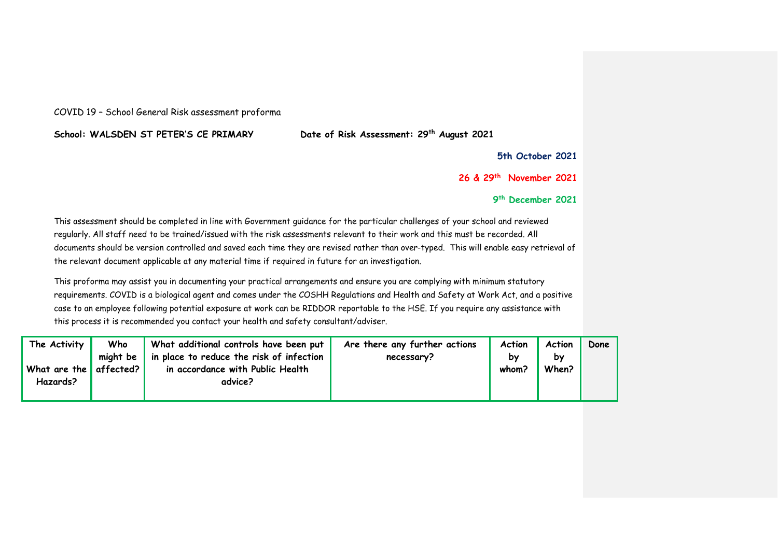## COVID 19 – School General Risk assessment proforma

**School: WALSDEN ST PETER'S CE PRIMARY Date of Risk Assessment: 29th August 2021**

**5th October 2021**

**26 & 29th November 2021**

**9 th December 2021**

This assessment should be completed in line with Government guidance for the particular challenges of your school and reviewed regularly. All staff need to be trained/issued with the risk assessments relevant to their work and this must be recorded. All documents should be version controlled and saved each time they are revised rather than over-typed. This will enable easy retrieval of the relevant document applicable at any material time if required in future for an investigation.

This proforma may assist you in documenting your practical arrangements and ensure you are complying with minimum statutory requirements. COVID is a biological agent and comes under the COSHH Regulations and Health and Safety at Work Act, and a positive case to an employee following potential exposure at work can be RIDDOR reportable to the HSE. If you require any assistance with this process it is recommended you contact your health and safety consultant/adviser.

| The Activity           | Who           | What additional controls have been put   | Are there any further actions | Action | Action | Done |
|------------------------|---------------|------------------------------------------|-------------------------------|--------|--------|------|
|                        | might be $\ $ | in place to reduce the risk of infection | necessary?                    | by     | by     |      |
| What are the affected? |               | in accordance with Public Health         |                               | whom?  | When?  |      |
| Hazards?               |               | advice?                                  |                               |        |        |      |
|                        |               |                                          |                               |        |        |      |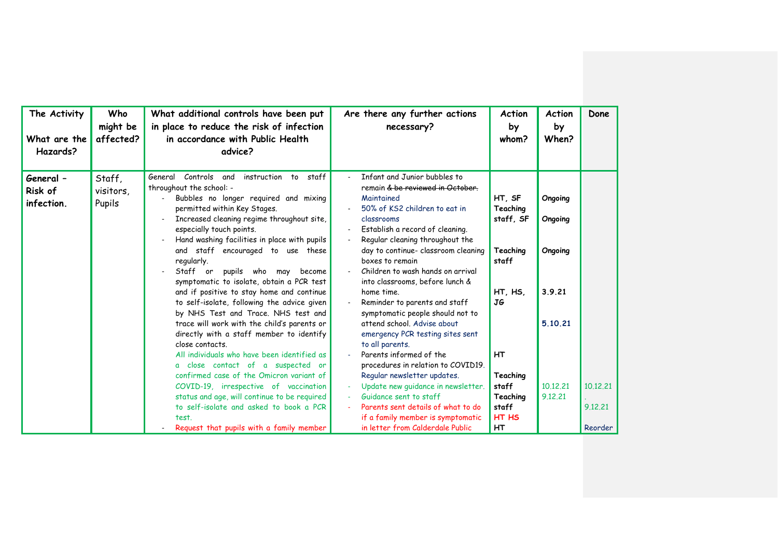| The Activity<br>What are the<br>Hazards? | Who<br>might be<br>affected?  | What additional controls have been put<br>in place to reduce the risk of infection<br>in accordance with Public Health<br>advice?                                                                                                                                                                                                                                                                                                                                                                                                                                                                                                                                                                                                                                                                                                                                                                                                              | Are there any further actions<br>necessary?                                                                                                                                                                                                                                                                                                                                                                                                                                                                                                                                                                                                                                                                          | Action<br>by<br>whom?                                                                                                        | <b>Action</b><br>by<br>When?                                              | Done                |
|------------------------------------------|-------------------------------|------------------------------------------------------------------------------------------------------------------------------------------------------------------------------------------------------------------------------------------------------------------------------------------------------------------------------------------------------------------------------------------------------------------------------------------------------------------------------------------------------------------------------------------------------------------------------------------------------------------------------------------------------------------------------------------------------------------------------------------------------------------------------------------------------------------------------------------------------------------------------------------------------------------------------------------------|----------------------------------------------------------------------------------------------------------------------------------------------------------------------------------------------------------------------------------------------------------------------------------------------------------------------------------------------------------------------------------------------------------------------------------------------------------------------------------------------------------------------------------------------------------------------------------------------------------------------------------------------------------------------------------------------------------------------|------------------------------------------------------------------------------------------------------------------------------|---------------------------------------------------------------------------|---------------------|
| General -<br>Risk of<br>infection.       | Staff,<br>visitors.<br>Pupils | instruction to staff<br>Controls<br>and<br>General<br>throughout the school: -<br>Bubbles no longer required and mixing<br>permitted within Key Stages.<br>Increased cleaning regime throughout site,<br>especially touch points.<br>Hand washing facilities in place with pupils<br>and staff encouraged to use these<br>regularly.<br>Staff or<br>pupils who may<br>become<br>symptomatic to isolate, obtain a PCR test<br>and if positive to stay home and continue<br>to self-isolate, following the advice given<br>by NHS Test and Trace. NHS test and<br>trace will work with the child's parents or<br>directly with a staff member to identify<br>close contacts.<br>All individuals who have been identified as<br>a close contact of a suspected or<br>confirmed case of the Omicron variant of<br>COVID-19, irrespective of vaccination<br>status and age, will continue to be required<br>to self-isolate and asked to book a PCR | Infant and Junior bubbles to<br>remain & be reviewed in October.<br>Maintained<br>50% of KS2 children to eat in<br>classrooms<br>Establish a record of cleaning.<br>Regular cleaning throughout the<br>day to continue- classroom cleaning<br>boxes to remain<br>Children to wash hands on arrival<br>into classrooms, before lunch &<br>home time.<br>Reminder to parents and staff<br>symptomatic people should not to<br>attend school. Advise about<br>emergency PCR testing sites sent<br>to all parents.<br>Parents informed of the<br>procedures in relation to COVID19.<br>Regular newsletter updates.<br>Update new quidance in newsletter.<br>Guidance sent to staff<br>Parents sent details of what to do | HT, SF<br>Teaching<br>staff, SF<br>Teaching<br>staff<br>HT, HS,<br>JG<br><b>HT</b><br>Teaching<br>staff<br>Teaching<br>staff | Ongoing<br>Ongoing<br>Ongoing<br>3.9.21<br>5.10.21<br>10.12.21<br>9.12.21 | 10.12.21<br>9.12.21 |
|                                          |                               | test.<br>Request that pupils with a family member                                                                                                                                                                                                                                                                                                                                                                                                                                                                                                                                                                                                                                                                                                                                                                                                                                                                                              | if a family member is symptomatic<br>in letter from Calderdale Public                                                                                                                                                                                                                                                                                                                                                                                                                                                                                                                                                                                                                                                | HT HS<br>HT                                                                                                                  |                                                                           | Reorder             |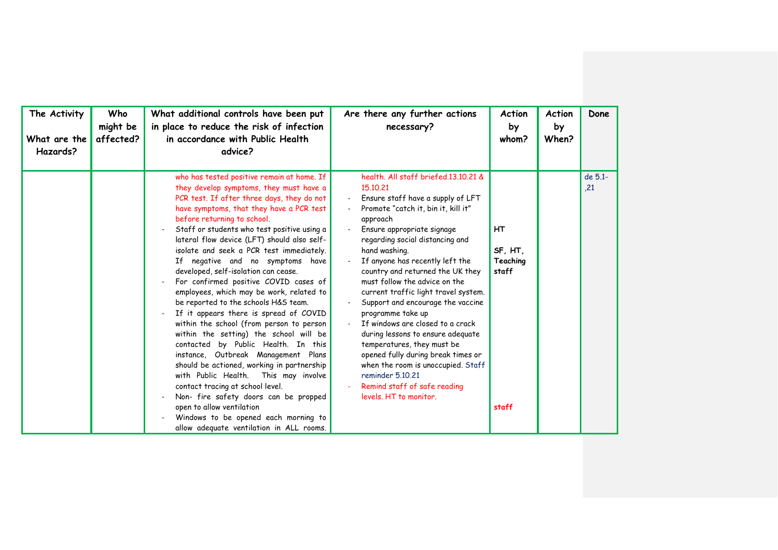| The Activity<br>What are the<br>Hazards? | Who<br>might be<br>affected? | What additional controls have been put<br>in place to reduce the risk of infection<br>in accordance with Public Health<br>advice?                                                                                                                                                                                                                                                                                                                                                                                                                                                                                                                                                                                                                                                                                                                                                                                                                                                                                                                                      | Are there any further actions<br>necessary?                                                                                                                                                                                                                                                                                                                                                                                                                                                                                                                                                                                                                                                           | <b>Action</b><br>by<br>whom?                       | <b>Action</b><br>by<br>When? | Done           |
|------------------------------------------|------------------------------|------------------------------------------------------------------------------------------------------------------------------------------------------------------------------------------------------------------------------------------------------------------------------------------------------------------------------------------------------------------------------------------------------------------------------------------------------------------------------------------------------------------------------------------------------------------------------------------------------------------------------------------------------------------------------------------------------------------------------------------------------------------------------------------------------------------------------------------------------------------------------------------------------------------------------------------------------------------------------------------------------------------------------------------------------------------------|-------------------------------------------------------------------------------------------------------------------------------------------------------------------------------------------------------------------------------------------------------------------------------------------------------------------------------------------------------------------------------------------------------------------------------------------------------------------------------------------------------------------------------------------------------------------------------------------------------------------------------------------------------------------------------------------------------|----------------------------------------------------|------------------------------|----------------|
|                                          |                              | who has tested positive remain at home. If<br>they develop symptoms, they must have a<br>PCR test. If after three days, they do not<br>have symptoms, that they have a PCR test<br>before returning to school.<br>Staff or students who test positive using a<br>lateral flow device (LFT) should also self-<br>isolate and seek a PCR test immediately.<br>If negative and no symptoms have<br>developed, self-isolation can cease.<br>For confirmed positive COVID cases of<br>employees, which may be work, related to<br>be reported to the schools H&S team.<br>If it appears there is spread of COVID<br>within the school (from person to person<br>within the setting) the school will be<br>contacted by Public Health. In this<br>instance, Outbreak Management Plans<br>should be actioned, working in partnership<br>with Public Health.<br>This may involve<br>contact tracing at school level.<br>Non- fire safety doors can be propped<br>open to allow ventilation<br>Windows to be opened each morning to<br>allow adequate ventilation in ALL rooms. | health. All staff briefed.13.10.21 &<br>15.10.21<br>Ensure staff have a supply of LFT<br>Promote "catch it, bin it, kill it"<br>approach<br>Ensure appropriate signage<br>regarding social distancing and<br>hand washing.<br>If anyone has recently left the<br>country and returned the UK they<br>must follow the advice on the<br>current traffic light travel system.<br>Support and encourage the vaccine<br>programme take up<br>If windows are closed to a crack<br>during lessons to ensure adequate<br>temperatures, they must be<br>opened fully during break times or<br>when the room is unoccupied. Staff<br>reminder 5.10.21<br>Remind staff of safe reading<br>levels. HT to monitor. | <b>HT</b><br>SF, HT,<br>Teaching<br>staff<br>staff |                              | de 5.1-<br>,21 |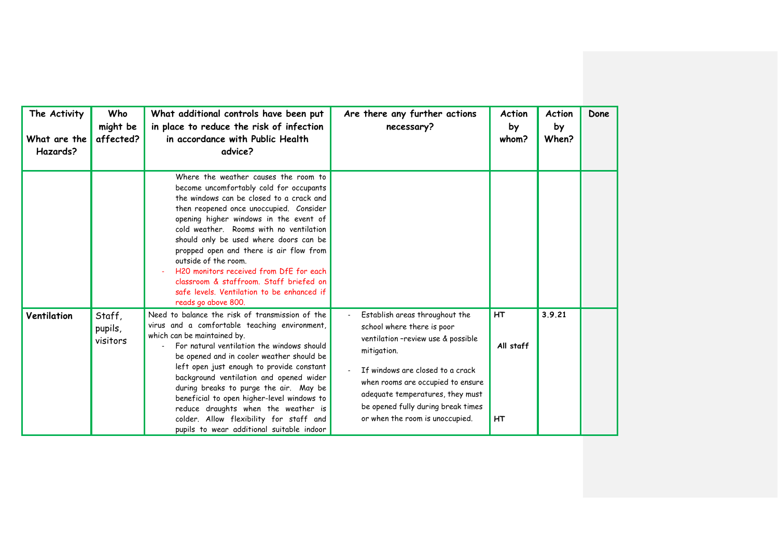| The Activity<br>What are the<br>Hazards? | Who<br>might be<br>affected?  | What additional controls have been put<br>in place to reduce the risk of infection<br>in accordance with Public Health<br>advice?                                                                                                                                                                                                                                                                                                                                                                                                         | Are there any further actions<br>necessary?                                                                                                                                                                                                                                                             | <b>Action</b><br>by<br>whom?        | <b>Action</b><br>by<br>When? | Done |
|------------------------------------------|-------------------------------|-------------------------------------------------------------------------------------------------------------------------------------------------------------------------------------------------------------------------------------------------------------------------------------------------------------------------------------------------------------------------------------------------------------------------------------------------------------------------------------------------------------------------------------------|---------------------------------------------------------------------------------------------------------------------------------------------------------------------------------------------------------------------------------------------------------------------------------------------------------|-------------------------------------|------------------------------|------|
|                                          |                               | Where the weather causes the room to<br>become uncomfortably cold for occupants<br>the windows can be closed to a crack and<br>then reopened once unoccupied. Consider<br>opening higher windows in the event of<br>cold weather. Rooms with no ventilation<br>should only be used where doors can be<br>propped open and there is air flow from<br>outside of the room.<br>H20 monitors received from DfE for each<br>classroom & staffroom. Staff briefed on<br>safe levels. Ventilation to be enhanced if<br>reads go above 800.       |                                                                                                                                                                                                                                                                                                         |                                     |                              |      |
| Ventilation                              | Staff,<br>pupils,<br>visitors | Need to balance the risk of transmission of the<br>virus and a comfortable teaching environment,<br>which can be maintained by.<br>For natural ventilation the windows should<br>be opened and in cooler weather should be<br>left open just enough to provide constant<br>background ventilation and opened wider<br>during breaks to purge the air. May be<br>beneficial to open higher-level windows to<br>reduce draughts when the weather is<br>colder. Allow flexibility for staff and<br>pupils to wear additional suitable indoor | Establish areas throughout the<br>school where there is poor<br>ventilation -review use & possible<br>mitigation.<br>If windows are closed to a crack<br>when rooms are occupied to ensure<br>adequate temperatures, they must<br>be opened fully during break times<br>or when the room is unoccupied. | <b>HT</b><br>All staff<br><b>HT</b> | 3.9.21                       |      |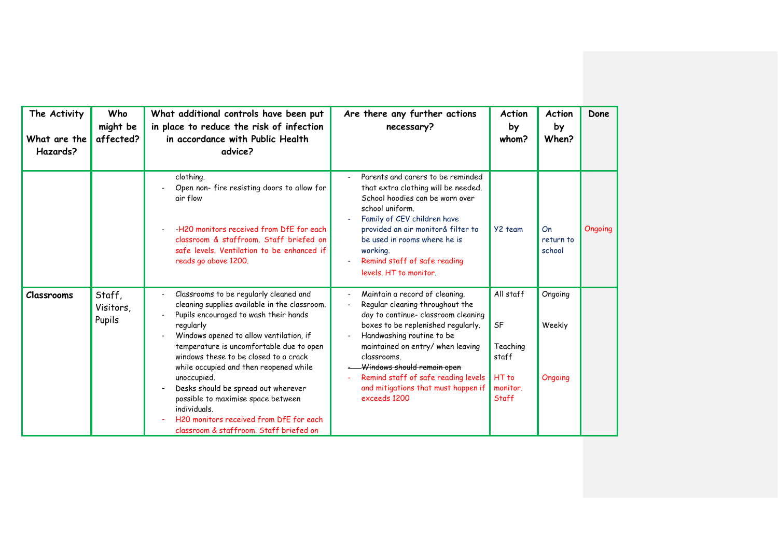| The Activity<br>What are the<br>Hazards? | Who<br>might be<br>affected?  | What additional controls have been put<br>in place to reduce the risk of infection<br>in accordance with Public Health<br>advice?                                                                                                                                                                                                                                                                                                                                                                                         | Are there any further actions<br>necessary?                                                                                                                                                                                                                                                                                                                 | <b>Action</b><br>by<br>whom?                                                  | <b>Action</b><br>by<br>When? | Done    |
|------------------------------------------|-------------------------------|---------------------------------------------------------------------------------------------------------------------------------------------------------------------------------------------------------------------------------------------------------------------------------------------------------------------------------------------------------------------------------------------------------------------------------------------------------------------------------------------------------------------------|-------------------------------------------------------------------------------------------------------------------------------------------------------------------------------------------------------------------------------------------------------------------------------------------------------------------------------------------------------------|-------------------------------------------------------------------------------|------------------------------|---------|
|                                          |                               | clothing.<br>Open non- fire resisting doors to allow for<br>air flow<br>-H20 monitors received from DfE for each<br>classroom & staffroom. Staff briefed on<br>safe levels. Ventilation to be enhanced if<br>reads go above 1200.                                                                                                                                                                                                                                                                                         | Parents and carers to be reminded<br>that extra clothing will be needed.<br>School hoodies can be worn over<br>school uniform.<br>Family of CEV children have<br>provided an air monitor& filter to<br>be used in rooms where he is<br>working.<br>Remind staff of safe reading<br>levels. HT to monitor.                                                   | Y2 team                                                                       | On<br>return to<br>school    | Ongoing |
| <b>Classrooms</b>                        | Staff,<br>Visitors,<br>Pupils | Classrooms to be regularly cleaned and<br>cleaning supplies available in the classroom.<br>Pupils encouraged to wash their hands<br>regularly<br>Windows opened to allow ventilation, if<br>temperature is uncomfortable due to open<br>windows these to be closed to a crack<br>while occupied and then reopened while<br>unoccupied.<br>Desks should be spread out wherever<br>possible to maximise space between<br>individuals.<br>H20 monitors received from DfE for each<br>classroom & staffroom. Staff briefed on | Maintain a record of cleaning.<br>Regular cleaning throughout the<br>day to continue- classroom cleaning<br>boxes to be replenished regularly.<br>Handwashing routine to be<br>maintained on entry/ when leaving<br>classrooms.<br>Windows should remain open<br>Remind staff of safe reading levels<br>and mitigations that must happen if<br>exceeds 1200 | All staff<br>SF<br>Teaching<br>staff<br>HT <sub>to</sub><br>monitor.<br>Staff | Ongoing<br>Weekly<br>Ongoing |         |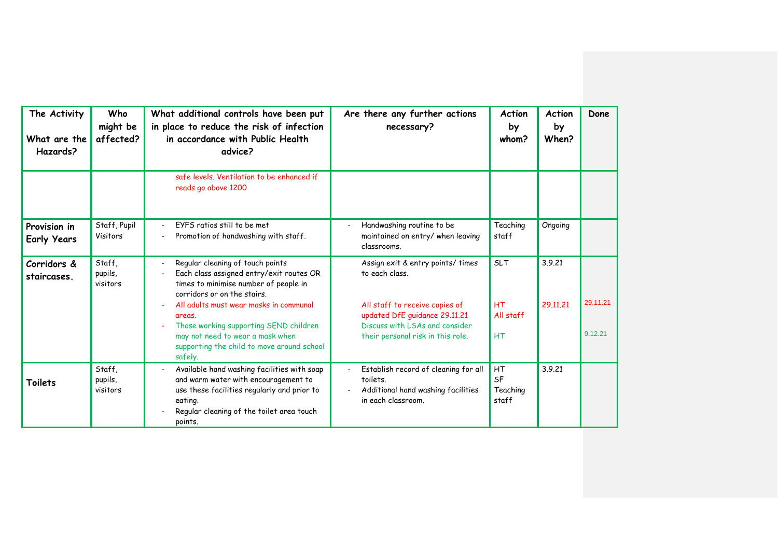| The Activity<br>What are the<br>Hazards? | Who<br>might be<br>affected?  | What additional controls have been put<br>in place to reduce the risk of infection<br>in accordance with Public Health<br>advice?                                                                     | Are there any further actions<br>necessary?                                                                  | <b>Action</b><br>by<br>whom?  | <b>Action</b><br>by<br>When? | Done     |
|------------------------------------------|-------------------------------|-------------------------------------------------------------------------------------------------------------------------------------------------------------------------------------------------------|--------------------------------------------------------------------------------------------------------------|-------------------------------|------------------------------|----------|
|                                          |                               | safe levels. Ventilation to be enhanced if<br>reads go above 1200                                                                                                                                     |                                                                                                              |                               |                              |          |
| Provision in<br><b>Early Years</b>       | Staff, Pupil<br>Visitors      | FYFS ratios still to be met<br>Promotion of handwashing with staff.                                                                                                                                   | Handwashing routine to be<br>maintained on entry/ when leaving<br>classrooms.                                | Teaching<br>staff             | Ongoing                      |          |
| Corridors &<br>staircases.               | Staff,<br>pupils,<br>visitors | Regular cleaning of touch points<br>Each class assigned entry/exit routes OR<br>times to minimise number of people in<br>corridors or on the stairs.                                                  | Assign exit & entry points/ times<br>to each class.                                                          | <b>SLT</b>                    | 3.9.21                       |          |
|                                          |                               | All adults must wear masks in communal<br>areas.<br>Those working supporting SEND children                                                                                                            | All staff to receive copies of<br>updated DfE guidance 29.11.21<br>Discuss with LSAs and consider            | <b>HT</b><br>All staff        | 29.11.21                     | 29.11.21 |
|                                          |                               | may not need to wear a mask when<br>supporting the child to move around school<br>safely.                                                                                                             | their personal risk in this role.                                                                            | HT                            |                              | 9.12.21  |
| Toilets                                  | Staff,<br>pupils,<br>visitors | Available hand washing facilities with soap<br>and warm water with encouragement to<br>use these facilities regularly and prior to<br>eating.<br>Regular cleaning of the toilet area touch<br>points. | Establish record of cleaning for all<br>toilets.<br>Additional hand washing facilities<br>in each classroom. | HT<br>SF<br>Teaching<br>staff | 3.9.21                       |          |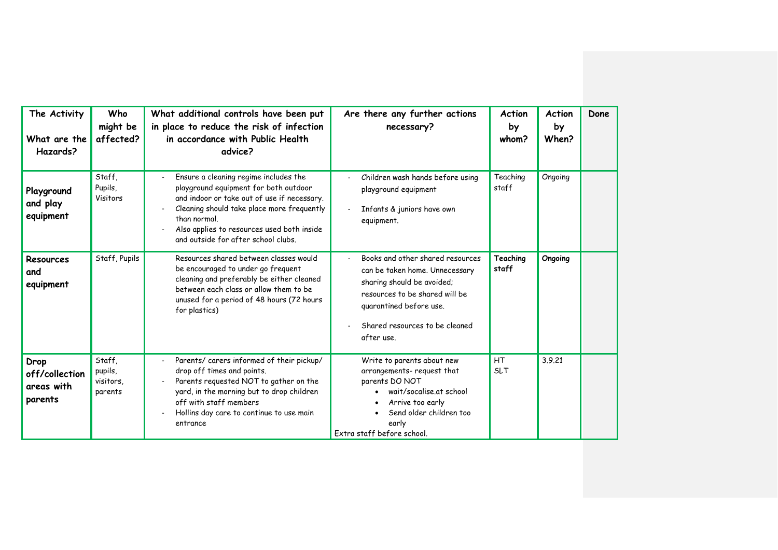| The Activity<br>What are the<br>Hazards?        | Who<br>might be<br>affected?              | What additional controls have been put<br>in place to reduce the risk of infection<br>in accordance with Public Health<br>advice?                                                                                                                                                | Are there any further actions<br>necessary?                                                                                                                                                                   | <b>Action</b><br>by<br>whom? | <b>Action</b><br>by<br>When? | Done |
|-------------------------------------------------|-------------------------------------------|----------------------------------------------------------------------------------------------------------------------------------------------------------------------------------------------------------------------------------------------------------------------------------|---------------------------------------------------------------------------------------------------------------------------------------------------------------------------------------------------------------|------------------------------|------------------------------|------|
| Playground<br>and play<br>equipment             | Staff,<br>Pupils,<br>Visitors             | Ensure a cleaning regime includes the<br>playground equipment for both outdoor<br>and indoor or take out of use if necessary.<br>Cleaning should take place more frequently<br>than normal.<br>Also applies to resources used both inside<br>and outside for after school clubs. | Children wash hands before using<br>playground equipment<br>Infants & juniors have own<br>equipment.                                                                                                          | Teaching<br>staff            | Ongoing                      |      |
| Resources<br>and<br>equipment                   | Staff, Pupils                             | Resources shared between classes would<br>be encouraged to under go frequent<br>cleaning and preferably be either cleaned<br>between each class or allow them to be<br>unused for a period of 48 hours (72 hours<br>for plastics)                                                | Books and other shared resources<br>can be taken home. Unnecessary<br>sharing should be avoided;<br>resources to be shared will be<br>quarantined before use.<br>Shared resources to be cleaned<br>after use. | Teaching<br>staff            | Ongoing                      |      |
| Drop<br>off/collection<br>areas with<br>parents | Staff.<br>pupils,<br>visitors.<br>parents | Parents/ carers informed of their pickup/<br>drop off times and points.<br>Parents requested NOT to gather on the<br>yard, in the morning but to drop children<br>off with staff members<br>Hollins day care to continue to use main<br>entrance                                 | Write to parents about new<br>arrangements- request that<br>parents DO NOT<br>wait/socalise.at school<br>Arrive too early<br>Send older children too<br>early<br>Extra staff before school.                   | HT<br><b>SLT</b>             | 3.9.21                       |      |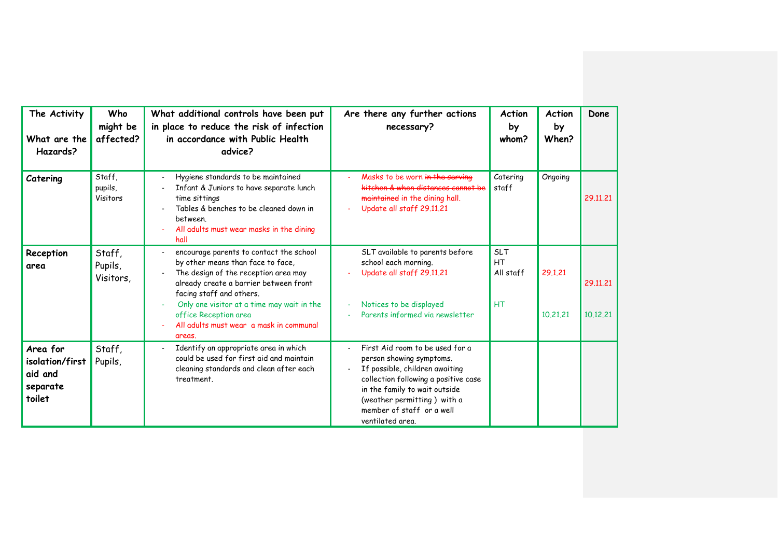| The Activity<br>What are the<br>Hazards?                     | Who<br>might be<br>affected?   | What additional controls have been put<br>in place to reduce the risk of infection<br>in accordance with Public Health<br>advice?                                                                                                                                                                                      | Are there any further actions<br>necessary?                                                                                                                                                                                                            | <b>Action</b><br>by<br>whom?               | <b>Action</b><br>by<br>When? | Done                 |
|--------------------------------------------------------------|--------------------------------|------------------------------------------------------------------------------------------------------------------------------------------------------------------------------------------------------------------------------------------------------------------------------------------------------------------------|--------------------------------------------------------------------------------------------------------------------------------------------------------------------------------------------------------------------------------------------------------|--------------------------------------------|------------------------------|----------------------|
| Catering                                                     | Staff,<br>pupils,<br>Visitors  | Hygiene standards to be maintained<br>Infant & Juniors to have separate lunch<br>time sittings<br>Tables & benches to be cleaned down in<br>between.<br>All adults must wear masks in the dining<br>hall                                                                                                               | Masks to be worn in the serving<br>kitchen & when distances cannot be<br>maintained in the dining hall.<br>Update all staff 29.11.21                                                                                                                   | Catering<br>staff                          | Ongoing                      | 29.11.21             |
| Reception<br>area                                            | Staff,<br>Pupils,<br>Visitors, | encourage parents to contact the school<br>by other means than face to face,<br>The design of the reception area may<br>already create a barrier between front<br>facing staff and others.<br>Only one visitor at a time may wait in the<br>office Reception area<br>All adults must wear a mask in communal<br>areas. | SLT available to parents before<br>school each morning.<br>Update all staff 29.11.21<br>Notices to be displayed<br>Parents informed via newsletter                                                                                                     | <b>SLT</b><br>HT<br>All staff<br><b>HT</b> | 29.1.21<br>10,21,21          | 29.11.21<br>10.12.21 |
| Area for<br>isolation/first<br>aid and<br>separate<br>toilet | Staff,<br>Pupils,              | Identify an appropriate area in which<br>could be used for first aid and maintain<br>cleaning standards and clean after each<br>treatment.                                                                                                                                                                             | First Aid room to be used for a<br>person showing symptoms.<br>If possible, children awaiting<br>collection following a positive case<br>in the family to wait outside<br>(weather permitting) with a<br>member of staff or a well<br>ventilated area. |                                            |                              |                      |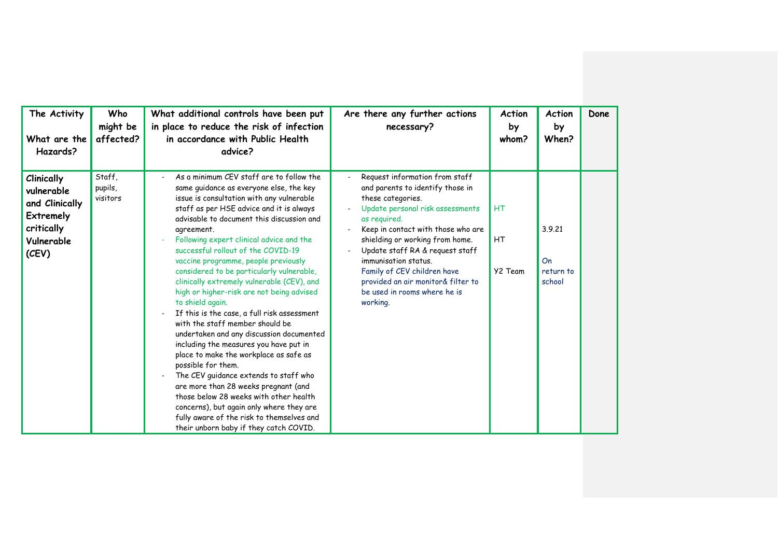| The Activity<br>What are the<br>Hazards?                                                                   | Who<br>might be<br>affected?  | What additional controls have been put<br>in place to reduce the risk of infection<br>in accordance with Public Health<br>advice?                                                                                                                                                                                                                                                                                                                                                                                                                                                                                                                                                                                                                                                                                                                                                                                                                                                                                                   | Are there any further actions<br>necessary?                                                                                                                                                                                                                                                                                                                                                      | Action<br>by<br>whom? | <b>Action</b><br>by<br>When?        | Done |
|------------------------------------------------------------------------------------------------------------|-------------------------------|-------------------------------------------------------------------------------------------------------------------------------------------------------------------------------------------------------------------------------------------------------------------------------------------------------------------------------------------------------------------------------------------------------------------------------------------------------------------------------------------------------------------------------------------------------------------------------------------------------------------------------------------------------------------------------------------------------------------------------------------------------------------------------------------------------------------------------------------------------------------------------------------------------------------------------------------------------------------------------------------------------------------------------------|--------------------------------------------------------------------------------------------------------------------------------------------------------------------------------------------------------------------------------------------------------------------------------------------------------------------------------------------------------------------------------------------------|-----------------------|-------------------------------------|------|
| <b>Clinically</b><br>vulnerable<br>and Clinically<br><b>Extremely</b><br>critically<br>Vulnerable<br>(CEV) | Staff.<br>pupils,<br>visitors | As a minimum CEV staff are to follow the<br>same quidance as everyone else, the key<br>issue is consultation with any vulnerable<br>staff as per HSE advice and it is always<br>advisable to document this discussion and<br>agreement.<br>Following expert clinical advice and the<br>successful rollout of the COVID-19<br>vaccine programme, people previously<br>considered to be particularly vulnerable,<br>clinically extremely vulnerable (CEV), and<br>high or higher-risk are not being advised<br>to shield again.<br>If this is the case, a full risk assessment<br>with the staff member should be<br>undertaken and any discussion documented<br>including the measures you have put in<br>place to make the workplace as safe as<br>possible for them.<br>The CEV guidance extends to staff who<br>are more than 28 weeks pregnant (and<br>those below 28 weeks with other health<br>concerns), but again only where they are<br>fully aware of the risk to themselves and<br>their unborn baby if they catch COVID. | Request information from staff<br>and parents to identify those in<br>these categories.<br>Update personal risk assessments<br>as reguired.<br>Keep in contact with those who are<br>shielding or working from home.<br>Update staff RA & request staff<br>immunisation status.<br>Family of CEV children have<br>provided an air monitor& filter to<br>be used in rooms where he is<br>working. | HT<br>HT<br>Y2 Team   | 3.9.21<br>On<br>return to<br>school |      |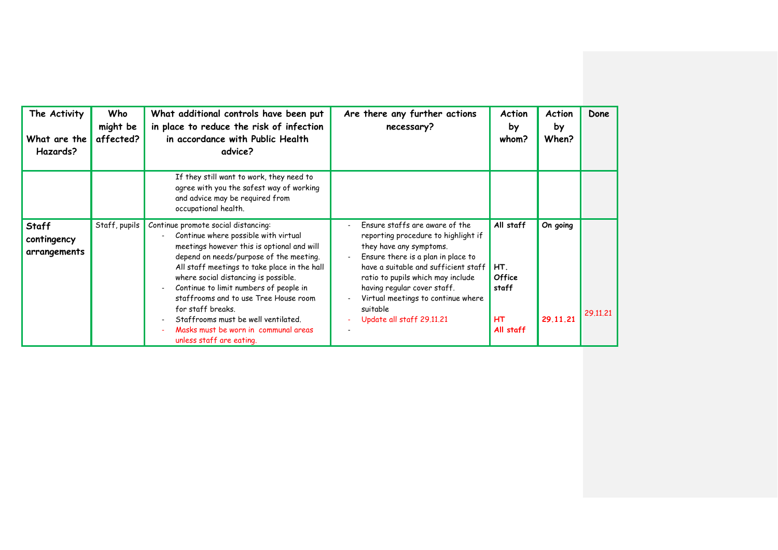| The Activity                                | Who                   | What additional controls have been put                                                                                                                                                                                                                                                                                                                                                                                                              | Are there any further actions                                                                                                                                                                                                                                                                                                     | <b>Action</b>                                                        | Action               | Done     |
|---------------------------------------------|-----------------------|-----------------------------------------------------------------------------------------------------------------------------------------------------------------------------------------------------------------------------------------------------------------------------------------------------------------------------------------------------------------------------------------------------------------------------------------------------|-----------------------------------------------------------------------------------------------------------------------------------------------------------------------------------------------------------------------------------------------------------------------------------------------------------------------------------|----------------------------------------------------------------------|----------------------|----------|
| What are the<br>Hazards?                    | might be<br>affected? | in place to reduce the risk of infection<br>in accordance with Public Health<br>advice?                                                                                                                                                                                                                                                                                                                                                             | necessary?                                                                                                                                                                                                                                                                                                                        | by<br>whom?                                                          | by<br>When?          |          |
|                                             |                       | If they still want to work, they need to<br>agree with you the safest way of working<br>and advice may be required from<br>occupational health.                                                                                                                                                                                                                                                                                                     |                                                                                                                                                                                                                                                                                                                                   |                                                                      |                      |          |
| <b>Staff</b><br>contingency<br>arrangements | Staff, pupils         | Continue promote social distancing:<br>Continue where possible with virtual<br>meetings however this is optional and will<br>depend on needs/purpose of the meeting.<br>All staff meetings to take place in the hall<br>where social distancing is possible.<br>Continue to limit numbers of people in<br>staffrooms and to use Tree House room<br>for staff breaks.<br>Staffrooms must be well ventilated.<br>Masks must be worn in communal areas | Ensure staffs are aware of the<br>reporting procedure to highlight if<br>they have any symptoms.<br>Ensure there is a plan in place to<br>have a suitable and sufficient staff<br>ratio to pupils which may include<br>having regular cover staff.<br>Virtual meetings to continue where<br>suitable<br>Update all staff 29.11.21 | All staff<br>HT.<br><b>Office</b><br>staff<br><b>HT</b><br>All staff | On going<br>29.11.21 | 29.11.21 |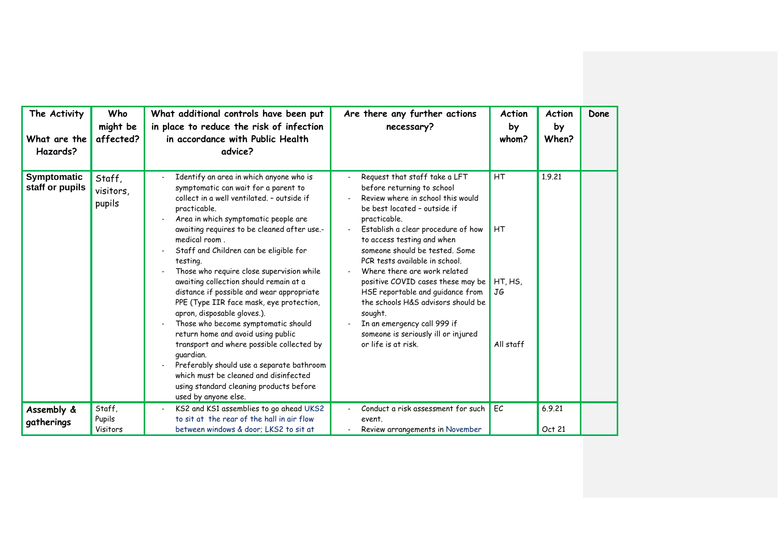| The Activity<br>What are the<br>Hazards? | Who<br>might be<br>affected?  | What additional controls have been put<br>in place to reduce the risk of infection<br>in accordance with Public Health<br>advice?                                                                                                                                                                                                                                                                                                                                                                                                                                                                                                                                                                                                                                                                                          | Are there any further actions<br>necessary?                                                                                                                                                                                                                                                                                                                                                                                                                                                                                                     | Action<br>by<br>whom?                       | <b>Action</b><br>by<br>When? | Done |
|------------------------------------------|-------------------------------|----------------------------------------------------------------------------------------------------------------------------------------------------------------------------------------------------------------------------------------------------------------------------------------------------------------------------------------------------------------------------------------------------------------------------------------------------------------------------------------------------------------------------------------------------------------------------------------------------------------------------------------------------------------------------------------------------------------------------------------------------------------------------------------------------------------------------|-------------------------------------------------------------------------------------------------------------------------------------------------------------------------------------------------------------------------------------------------------------------------------------------------------------------------------------------------------------------------------------------------------------------------------------------------------------------------------------------------------------------------------------------------|---------------------------------------------|------------------------------|------|
| Symptomatic<br>staff or pupils           | Staff,<br>visitors,<br>pupils | Identify an area in which anyone who is<br>symptomatic can wait for a parent to<br>collect in a well ventilated. - outside if<br>practicable.<br>Area in which symptomatic people are<br>awaiting requires to be cleaned after use.-<br>medical room.<br>Staff and Children can be eligible for<br>testing.<br>Those who require close supervision while<br>awaiting collection should remain at a<br>distance if possible and wear appropriate<br>PPE (Type IIR face mask, eye protection,<br>apron, disposable gloves.).<br>Those who become symptomatic should<br>return home and avoid using public<br>transport and where possible collected by<br>guardian.<br>Preferably should use a separate bathroom<br>which must be cleaned and disinfected<br>using standard cleaning products before<br>used by anyone else. | Request that staff take a LFT<br>before returning to school<br>Review where in school this would<br>be best located - outside if<br>practicable.<br>Establish a clear procedure of how<br>to access testing and when<br>someone should be tested. Some<br>PCR tests available in school.<br>Where there are work related<br>positive COVID cases these may be<br>HSE reportable and guidance from<br>the schools H&S advisors should be<br>sought.<br>In an emergency call 999 if<br>someone is seriously ill or injured<br>or life is at risk. | HT<br><b>HT</b><br>HT.HS<br>JG<br>All staff | 1.9.21                       |      |
| Assembly &<br>gatherings                 | Staff,<br>Pupils<br>Visitors  | KS2 and KS1 assemblies to go ahead UKS2<br>to sit at the rear of the hall in air flow<br>between windows & door; LKS2 to sit at                                                                                                                                                                                                                                                                                                                                                                                                                                                                                                                                                                                                                                                                                            | Conduct a risk assessment for such<br>event.<br>Review arrangements in November                                                                                                                                                                                                                                                                                                                                                                                                                                                                 | EC                                          | 6.9.21<br>Oct 21             |      |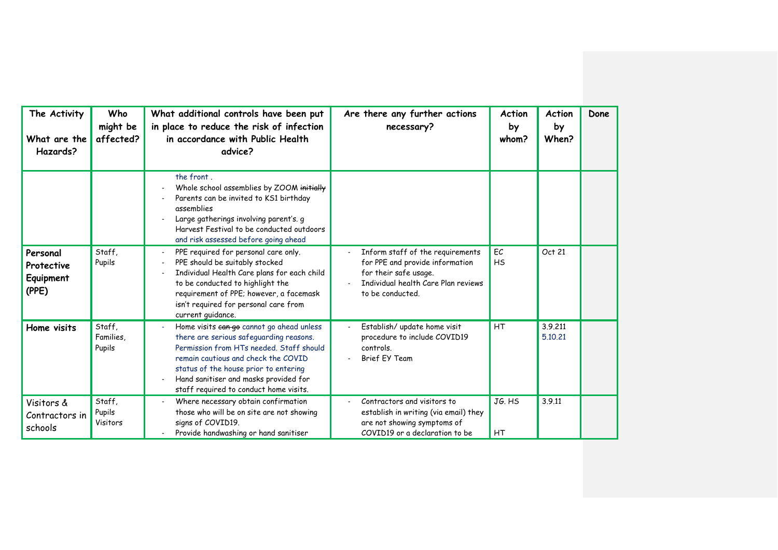| The Activity<br>What are the<br>Hazards?     | Who<br>might be<br>affected?  | What additional controls have been put<br>in place to reduce the risk of infection<br>in accordance with Public Health<br>advice?                                                                                                                                                                   | Are there any further actions<br>necessary?                                                                                                             | Action<br>by<br>whom? | <b>Action</b><br>by<br>When? | Done |
|----------------------------------------------|-------------------------------|-----------------------------------------------------------------------------------------------------------------------------------------------------------------------------------------------------------------------------------------------------------------------------------------------------|---------------------------------------------------------------------------------------------------------------------------------------------------------|-----------------------|------------------------------|------|
|                                              |                               | the front.<br>Whole school assemblies by ZOOM initially<br>Parents can be invited to KS1 birthday<br>assemblies<br>Large gatherings involving parent's. g<br>Harvest Festival to be conducted outdoors<br>and risk assessed before going ahead                                                      |                                                                                                                                                         |                       |                              |      |
| Personal<br>Protective<br>Equipment<br>(PPE) | Staff.<br>Pupils              | PPE required for personal care only.<br>PPE should be suitably stocked<br>Individual Health Care plans for each child<br>to be conducted to highlight the<br>requirement of PPE; however, a facemask<br>isn't required for personal care from<br>current guidance.                                  | Inform staff of the requirements<br>for PPE and provide information<br>for their safe usage.<br>Individual health Care Plan reviews<br>to be conducted. | EC<br><b>HS</b>       | Oct 21                       |      |
| Home visits                                  | Staff.<br>Families.<br>Pupils | Home visits ean go cannot go ahead unless<br>there are serious safeguarding reasons.<br>Permission from HTs needed. Staff should<br>remain cautious and check the COVID<br>status of the house prior to entering<br>Hand sanitiser and masks provided for<br>staff required to conduct home visits. | Establish/ update home visit<br>procedure to include COVID19<br>controls.<br><b>Brief EY Team</b>                                                       | HT                    | 3.9.211<br>5.10.21           |      |
| Visitors &<br>Contractors in<br>schools      | Staff,<br>Pupils<br>Visitors  | Where necessary obtain confirmation<br>those who will be on site are not showing<br>signs of COVID19.<br>Provide handwashing or hand sanitiser                                                                                                                                                      | Contractors and visitors to<br>establish in writing (via email) they<br>are not showing symptoms of<br>COVID19 or a declaration to be                   | JG. HS<br>HT          | 3.9.11                       |      |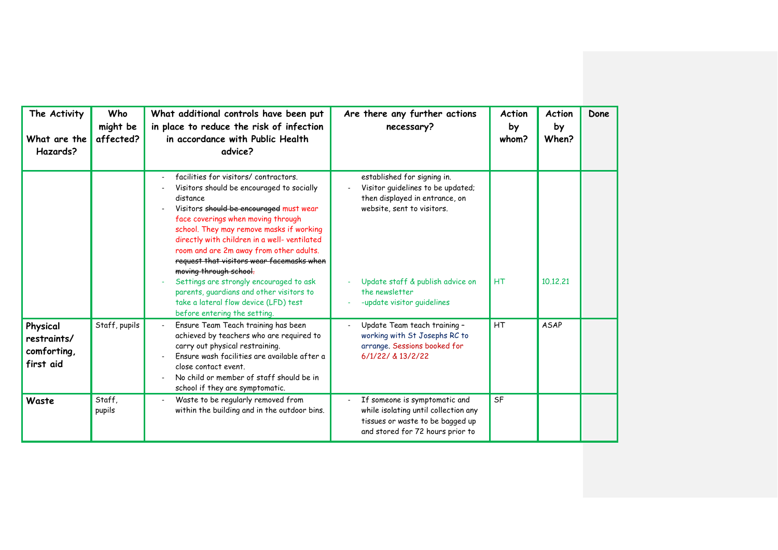| The Activity<br>What are the<br>Hazards?            | Who<br>might be<br>affected? | What additional controls have been put<br>in place to reduce the risk of infection<br>in accordance with Public Health<br>advice?                                                                                                                                                                                                                                                                                                                                                                                                                            | Are there any further actions<br>necessary?                                                                                                                                                                          |           | Action<br>by<br>When? | Done |
|-----------------------------------------------------|------------------------------|--------------------------------------------------------------------------------------------------------------------------------------------------------------------------------------------------------------------------------------------------------------------------------------------------------------------------------------------------------------------------------------------------------------------------------------------------------------------------------------------------------------------------------------------------------------|----------------------------------------------------------------------------------------------------------------------------------------------------------------------------------------------------------------------|-----------|-----------------------|------|
|                                                     |                              | facilities for visitors/contractors.<br>Visitors should be encouraged to socially<br>distance<br>Visitors should be encouraged must wear<br>face coverings when moving through<br>school. They may remove masks if working<br>directly with children in a well- ventilated<br>room and are 2m away from other adults.<br>request that visitors wear facemasks when<br>moving through school.<br>Settings are strongly encouraged to ask<br>parents, quardians and other visitors to<br>take a lateral flow device (LFD) test<br>before entering the setting. | established for signing in.<br>Visitor guidelines to be updated;<br>then displayed in entrance, on<br>website, sent to visitors.<br>Update staff & publish advice on<br>the newsletter<br>-update visitor guidelines | <b>HT</b> | 10.12.21              |      |
| Physical<br>restraints/<br>comforting,<br>first aid | Staff, pupils                | Ensure Team Teach training has been<br>achieved by teachers who are required to<br>carry out physical restraining.<br>Fnsure wash facilities are available after a<br>close contact event.<br>No child or member of staff should be in<br>school if they are symptomatic.                                                                                                                                                                                                                                                                                    | Update Team teach training -<br>working with St Josephs RC to<br>arrange. Sessions booked for<br>6/1/22/ & 13/2/22                                                                                                   | HT        | <b>ASAP</b>           |      |
| Waste                                               | Staff,<br>pupils             | Waste to be regularly removed from<br>within the building and in the outdoor bins.                                                                                                                                                                                                                                                                                                                                                                                                                                                                           | If someone is symptomatic and<br>while isolating until collection any<br>tissues or waste to be bagged up<br>and stored for 72 hours prior to                                                                        | <b>SF</b> |                       |      |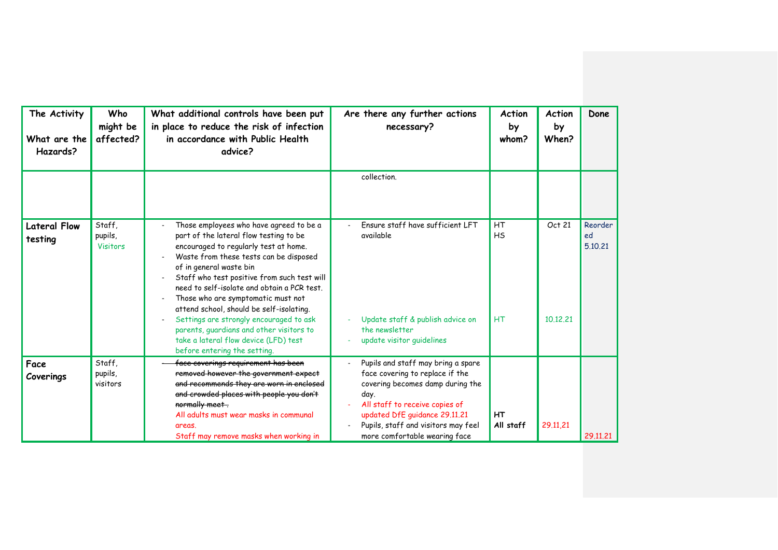| The Activity<br>What are the<br>Hazards? | Who<br>might be<br>affected?         | What additional controls have been put<br>in place to reduce the risk of infection<br>in accordance with Public Health<br>advice?                                                                                                                                                                                                                                                                                                                                                                                                               | Are there any further actions<br>necessary?                                                                                                                                                                                                                  | <b>Action</b><br>by<br>whom? | <b>Action</b><br>by<br>When? | Done                     |
|------------------------------------------|--------------------------------------|-------------------------------------------------------------------------------------------------------------------------------------------------------------------------------------------------------------------------------------------------------------------------------------------------------------------------------------------------------------------------------------------------------------------------------------------------------------------------------------------------------------------------------------------------|--------------------------------------------------------------------------------------------------------------------------------------------------------------------------------------------------------------------------------------------------------------|------------------------------|------------------------------|--------------------------|
|                                          |                                      |                                                                                                                                                                                                                                                                                                                                                                                                                                                                                                                                                 | collection.                                                                                                                                                                                                                                                  |                              |                              |                          |
| <b>Lateral Flow</b><br>testing           | Staff.<br>pupils,<br><b>Visitors</b> | Those employees who have agreed to be a<br>part of the lateral flow testing to be<br>encouraged to regularly test at home.<br>Waste from these tests can be disposed<br>of in general waste bin<br>Staff who test positive from such test will<br>need to self-isolate and obtain a PCR test.<br>Those who are symptomatic must not<br>attend school, should be self-isolating.<br>Settings are strongly encouraged to ask<br>parents, guardians and other visitors to<br>take a lateral flow device (LFD) test<br>before entering the setting. | Ensure staff have sufficient LFT<br>available<br>Update staff & publish advice on<br>the newsletter<br>update visitor guidelines                                                                                                                             | HT<br><b>HS</b><br><b>HT</b> | Oct 21<br>10.12.21           | Reorder<br>ed<br>5.10.21 |
| Face<br>Coverings                        | Staff,<br>pupils,<br>visitors        | face coverings requirement has been<br>removed however the government expect<br>and recommends they are worn in enclosed<br>and crowded places with people you don't<br>normally meet.<br>All adults must wear masks in communal<br>areas.<br>Staff may remove masks when working in                                                                                                                                                                                                                                                            | Pupils and staff may bring a spare<br>face covering to replace if the<br>covering becomes damp during the<br>day.<br>All staff to receive copies of<br>updated DfE guidance 29.11.21<br>Pupils, staff and visitors may feel<br>more comfortable wearing face | HT<br>All staff              | 29.11,21                     | 29.11.21                 |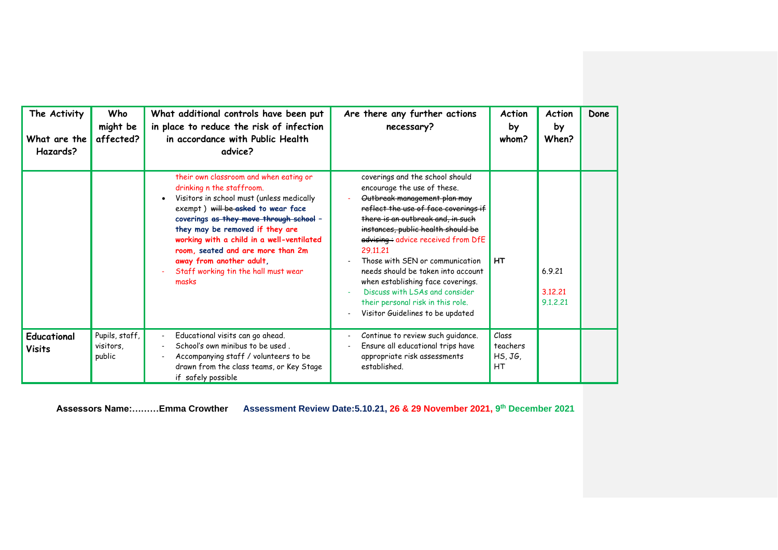| The Activity<br>What are the<br>Hazards? | Who<br>might be<br>affected?                                                                                                                                                                                                                                                                                                                                                                        | What additional controls have been put<br>in place to reduce the risk of infection<br>in accordance with Public Health<br>advice?                                               | Are there any further actions<br>necessary?                                                                                                                                                                                                                                                                                                                                                                                                                                                   |                                    | Action<br>by<br>When?         | Done |
|------------------------------------------|-----------------------------------------------------------------------------------------------------------------------------------------------------------------------------------------------------------------------------------------------------------------------------------------------------------------------------------------------------------------------------------------------------|---------------------------------------------------------------------------------------------------------------------------------------------------------------------------------|-----------------------------------------------------------------------------------------------------------------------------------------------------------------------------------------------------------------------------------------------------------------------------------------------------------------------------------------------------------------------------------------------------------------------------------------------------------------------------------------------|------------------------------------|-------------------------------|------|
|                                          | their own classroom and when eating or<br>drinking n the staffroom.<br>Visitors in school must (unless medically<br>exempt) will be asked to wear face<br>coverings as they move through school -<br>they may be removed if they are<br>working with a child in a well-ventilated<br>room, seated and are more than 2m<br>away from another adult,<br>Staff working tin the hall must wear<br>masks |                                                                                                                                                                                 | coverings and the school should<br>encourage the use of these.<br>Outbreak management plan may<br>reflect the use of face coverings if<br>there is an outbreak and, in such<br>instances, public health should be<br>advising + advice received from DfE<br>29.11.21<br>Those with SFN or communication<br>needs should be taken into account<br>when establishing face coverings.<br>Discuss with LSAs and consider<br>their personal risk in this role.<br>Visitor Guidelines to be updated | <b>HT</b>                          | 6.9.21<br>3.12.21<br>9.1.2.21 |      |
| Educational<br><b>Visits</b>             | Pupils, staff,<br>visitors,<br>public                                                                                                                                                                                                                                                                                                                                                               | Educational visits can go ahead.<br>School's own minibus to be used.<br>Accompanying staff / volunteers to be<br>drawn from the class teams, or Key Stage<br>if safely possible | Continue to review such guidance.<br>Ensure all educational trips have<br>appropriate risk assessments<br>established.                                                                                                                                                                                                                                                                                                                                                                        | Class<br>teachers<br>HS, JG,<br>HT |                               |      |

**Assessors Name:………Emma Crowther Assessment Review Date:5.10.21, 26 & 29 November 2021, 9 th December 2021**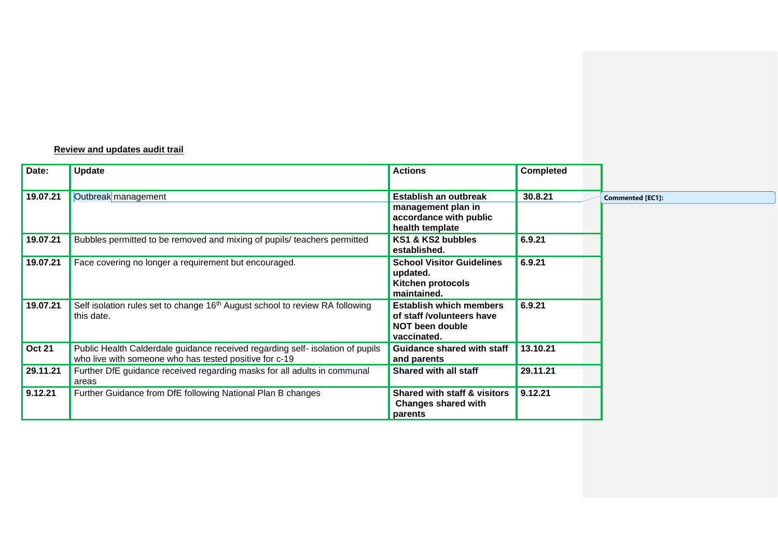## **Review and updates audit trail**

| Date:         | Update                                                                                                                                   | <b>Actions</b>                                                                                | <b>Completed</b> |                         |
|---------------|------------------------------------------------------------------------------------------------------------------------------------------|-----------------------------------------------------------------------------------------------|------------------|-------------------------|
| 19.07.21      | Outbreak management                                                                                                                      | Establish an outbreak<br>management plan in<br>accordance with public<br>health template      | 30.8.21          | <b>Commented [EC1]:</b> |
| 19.07.21      | Bubbles permitted to be removed and mixing of pupils/ teachers permitted                                                                 | KS1 & KS2 bubbles<br>established.                                                             | 6.9.21           |                         |
| 19.07.21      | Face covering no longer a requirement but encouraged.                                                                                    | <b>School Visitor Guidelines</b><br>updated.<br>Kitchen protocols<br>maintained.              | 6.9.21           |                         |
| 19.07.21      | Self isolation rules set to change 16 <sup>th</sup> August school to review RA following<br>this date.                                   | <b>Establish which members</b><br>of staff /volunteers have<br>NOT been double<br>vaccinated. | 6.9.21           |                         |
| <b>Oct 21</b> | Public Health Calderdale guidance received regarding self- isolation of pupils<br>who live with someone who has tested positive for c-19 | Guidance shared with staff<br>and parents                                                     | 13.10.21         |                         |
| 29.11.21      | Further DfE guidance received regarding masks for all adults in communal<br>areas                                                        | <b>Shared with all staff</b>                                                                  | 29.11.21         |                         |
| 9.12.21       | Further Guidance from DfE following National Plan B changes                                                                              | <b>Shared with staff &amp; visitors</b><br><b>Changes shared with</b><br>parents              | 9.12.21          |                         |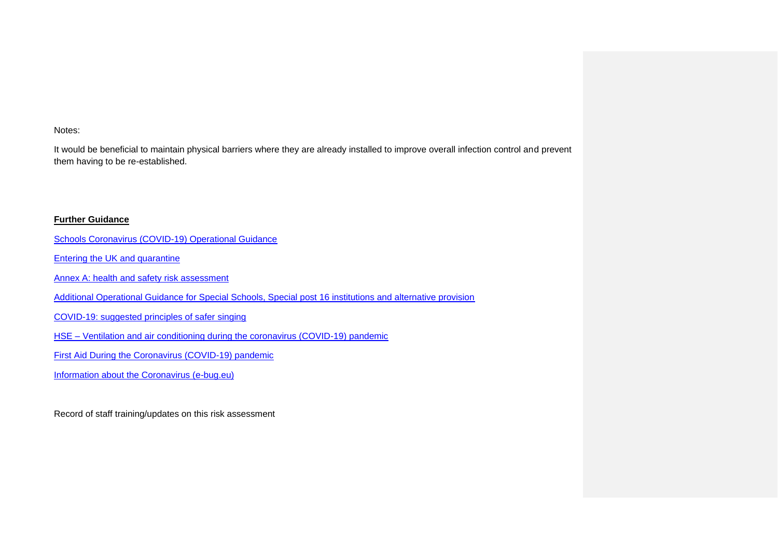Notes:

It would be beneficial to maintain physical barriers where they are already installed to improve overall infection control and prevent them having to be re-established.

## **Further Guidance**

- [Schools Coronavirus \(COVID-19\) Operational Guidance](https://assets.publishing.service.gov.uk/government/uploads/system/uploads/attachment_data/file/964351/Schools_coronavirus_operational_guidance.pdf)
- [Entering the UK and quarantine](https://www.gov.uk/uk-border-control/self-isolating-when-you-arrive)
- Annex A: health [and safety risk assessment](https://www.gov.uk/government/publications/actions-for-schools-during-the-coronavirus-outbreak/annex-a-health-and-safety-risk-assessment)
- [Additional Operational Guidance for Special Schools, Special post 16 institutions and alternative provision](https://assets.publishing.service.gov.uk/government/uploads/system/uploads/attachment_data/file/965449/Additional_operational_guidance_for_special_schools__special_post-16_institutions_and_alternative_provision.pdf)
- [COVID-19: suggested principles of safer singing](https://www.gov.uk/government/publications/covid-19-suggested-principles-of-safer-singing/covid-19-suggested-principles-of-safer-singing)
- HSE [Ventilation and air conditioning during the coronavirus \(COVID-19\) pandemic](https://www.hse.gov.uk/coronavirus/equipment-and-machinery/air-conditioning-and-ventilation.htm)
- [First Aid During the Coronavirus \(COVID-19\) pandemic](https://www.hse.gov.uk/coronavirus/first-aid-and-medicals/first-aid-certificate-coronavirus.htm?utm_source=govdelivery&utm_medium=email&utm_campaign=coronavirus&utm_term=first-aid-headline&utm_content=digest-25-feb-21#temporary)
- [Information about the Coronavirus \(e-bug.eu\)](https://e-bug.eu/eng_home.aspx?cc=eng&ss=1&t=Information%20about%20the%20Coronavirus)

Record of staff training/updates on this risk assessment